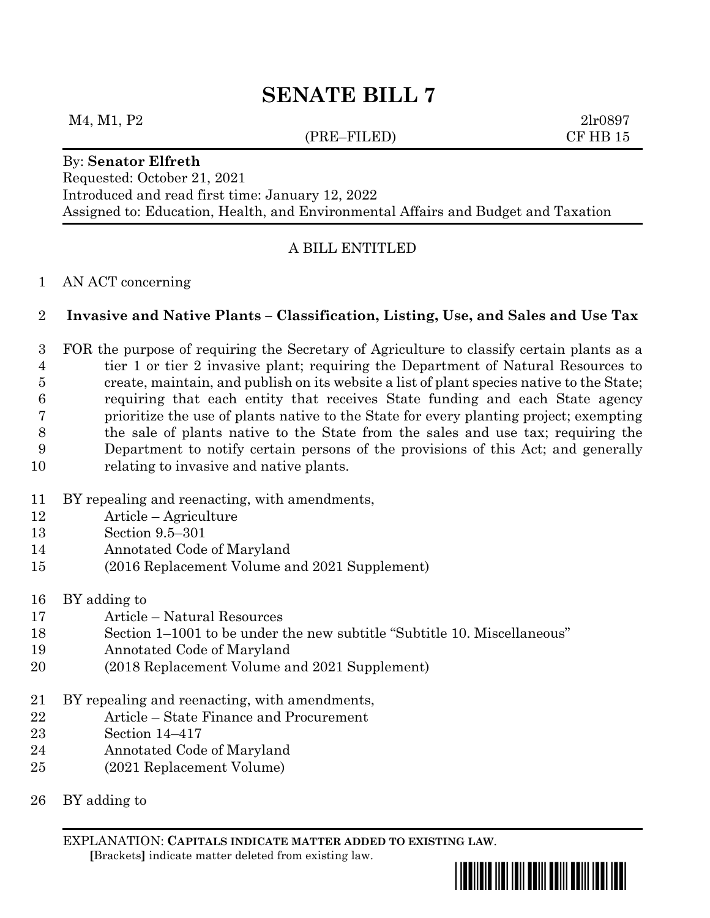# **SENATE BILL 7**

## M4, M1, P2 2lr0897

## (PRE–FILED) CF HB 15

#### By: **Senator Elfreth**

Requested: October 21, 2021 Introduced and read first time: January 12, 2022 Assigned to: Education, Health, and Environmental Affairs and Budget and Taxation

## A BILL ENTITLED

### AN ACT concerning

## **Invasive and Native Plants – Classification, Listing, Use, and Sales and Use Tax**

 FOR the purpose of requiring the Secretary of Agriculture to classify certain plants as a tier 1 or tier 2 invasive plant; requiring the Department of Natural Resources to create, maintain, and publish on its website a list of plant species native to the State; requiring that each entity that receives State funding and each State agency prioritize the use of plants native to the State for every planting project; exempting the sale of plants native to the State from the sales and use tax; requiring the Department to notify certain persons of the provisions of this Act; and generally relating to invasive and native plants.

- BY repealing and reenacting, with amendments,
- Article Agriculture
- Section 9.5–301
- Annotated Code of Maryland
- (2016 Replacement Volume and 2021 Supplement)
- BY adding to
- Article Natural Resources
- Section 1–1001 to be under the new subtitle "Subtitle 10. Miscellaneous"
- Annotated Code of Maryland
- (2018 Replacement Volume and 2021 Supplement)
- BY repealing and reenacting, with amendments,
- Article State Finance and Procurement
- Section 14–417
- Annotated Code of Maryland
- (2021 Replacement Volume)
- BY adding to

EXPLANATION: **CAPITALS INDICATE MATTER ADDED TO EXISTING LAW**.  **[**Brackets**]** indicate matter deleted from existing law.

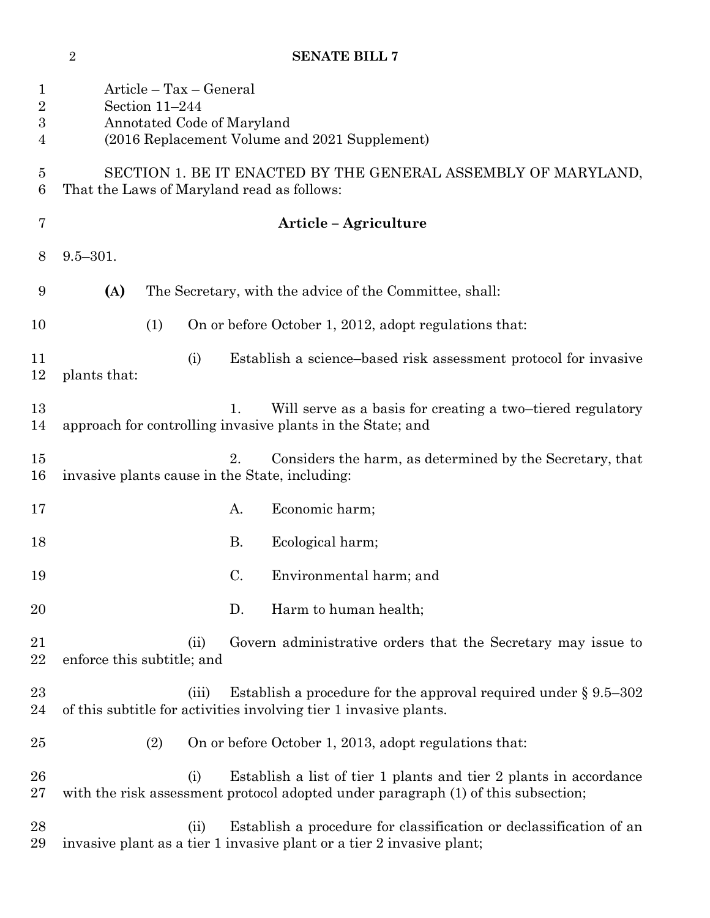Article – Tax – General Section 11–244 Annotated Code of Maryland (2016 Replacement Volume and 2021 Supplement) SECTION 1. BE IT ENACTED BY THE GENERAL ASSEMBLY OF MARYLAND, That the Laws of Maryland read as follows: **Article – Agriculture** 9.5–301. **(A)** The Secretary, with the advice of the Committee, shall: 10 (1) On or before October 1, 2012, adopt regulations that: (i) Establish a science–based risk assessment protocol for invasive plants that: 13 1. Will serve as a basis for creating a two–tiered regulatory approach for controlling invasive plants in the State; and 2. Considers the harm, as determined by the Secretary, that invasive plants cause in the State, including: 17 A. Economic harm; 18 B. Ecological harm; C. Environmental harm; and D. Harm to human health; (ii) Govern administrative orders that the Secretary may issue to enforce this subtitle; and 23 (iii) Establish a procedure for the approval required under § 9.5–302 of this subtitle for activities involving tier 1 invasive plants. (2) On or before October 1, 2013, adopt regulations that: (i) Establish a list of tier 1 plants and tier 2 plants in accordance with the risk assessment protocol adopted under paragraph (1) of this subsection; (ii) Establish a procedure for classification or declassification of an invasive plant as a tier 1 invasive plant or a tier 2 invasive plant;

**SENATE BILL 7**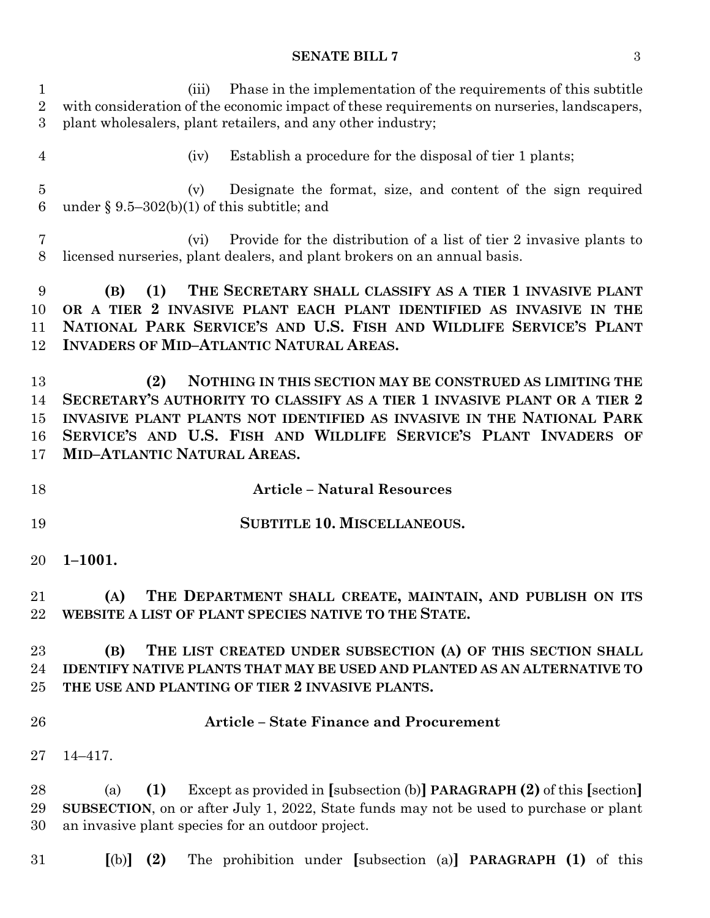# **SENATE BILL 7** 3

| 1<br>$\overline{2}$<br>3          | Phase in the implementation of the requirements of this subtitle<br>(iii)<br>with consideration of the economic impact of these requirements on nurseries, landscapers,<br>plant wholesalers, plant retailers, and any other industry;                                                                                         |
|-----------------------------------|--------------------------------------------------------------------------------------------------------------------------------------------------------------------------------------------------------------------------------------------------------------------------------------------------------------------------------|
| $\overline{4}$                    | Establish a procedure for the disposal of tier 1 plants;<br>(iv)                                                                                                                                                                                                                                                               |
| $\overline{5}$<br>$6\phantom{.}6$ | Designate the format, size, and content of the sign required<br>(v)<br>under § 9.5–302(b)(1) of this subtitle; and                                                                                                                                                                                                             |
| 7<br>8                            | Provide for the distribution of a list of tier 2 invasive plants to<br>(vi)<br>licensed nurseries, plant dealers, and plant brokers on an annual basis.                                                                                                                                                                        |
| 9<br>10<br>11<br>12               | THE SECRETARY SHALL CLASSIFY AS A TIER 1 INVASIVE PLANT<br>(1)<br>(B)<br>OR A TIER 2 INVASIVE PLANT EACH PLANT IDENTIFIED AS INVASIVE IN THE<br>NATIONAL PARK SERVICE'S AND U.S. FISH AND WILDLIFE SERVICE'S PLANT<br><b>INVADERS OF MID-ATLANTIC NATURAL AREAS.</b>                                                           |
| 13<br>14<br>15<br>16<br>17        | NOTHING IN THIS SECTION MAY BE CONSTRUED AS LIMITING THE<br>(2)<br>SECRETARY'S AUTHORITY TO CLASSIFY AS A TIER 1 INVASIVE PLANT OR A TIER 2<br>INVASIVE PLANT PLANTS NOT IDENTIFIED AS INVASIVE IN THE NATIONAL PARK<br>SERVICE'S AND U.S. FISH AND WILDLIFE SERVICE'S PLANT INVADERS OF<br><b>MID-ATLANTIC NATURAL AREAS.</b> |
| 18                                | <b>Article - Natural Resources</b>                                                                                                                                                                                                                                                                                             |
|                                   | <b>SUBTITLE 10. MISCELLANEOUS.</b>                                                                                                                                                                                                                                                                                             |
| 19                                |                                                                                                                                                                                                                                                                                                                                |
| 20                                | $1 - 1001.$                                                                                                                                                                                                                                                                                                                    |
| 21<br>22                          | (A)<br>THE DEPARTMENT SHALL CREATE, MAINTAIN, AND PUBLISH ON ITS<br>WEBSITE A LIST OF PLANT SPECIES NATIVE TO THE STATE.                                                                                                                                                                                                       |
| 23<br>24<br>25                    | THE LIST CREATED UNDER SUBSECTION (A) OF THIS SECTION SHALL<br>(B)<br><b>IDENTIFY NATIVE PLANTS THAT MAY BE USED AND PLANTED AS AN ALTERNATIVE TO</b><br>THE USE AND PLANTING OF TIER 2 INVASIVE PLANTS.                                                                                                                       |
| 26                                | <b>Article - State Finance and Procurement</b>                                                                                                                                                                                                                                                                                 |
| 27                                | $14 - 417.$                                                                                                                                                                                                                                                                                                                    |
| 28<br>29<br>30                    | Except as provided in [subsection (b)] <b>PARAGRAPH</b> $(2)$ of this [section]<br>(1)<br>(a)<br>SUBSECTION, on or after July 1, 2022, State funds may not be used to purchase or plant<br>an invasive plant species for an outdoor project.                                                                                   |